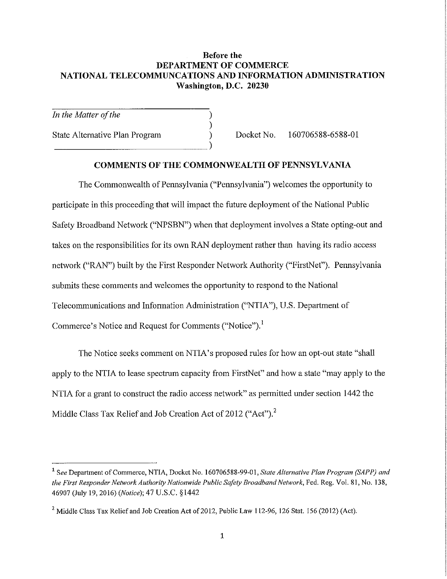# **Before the DEPARTMENT OF COMMERCE NATIONAL TELECOMMUNCATIONS AND INFORMATION ADMINISTRATION Washington, D.C. 20230**

) ) )

*In the Matter of the* 

State Altemative Plan Program  $\sum_{i=1}^{n}$  Docket No. 160706588-6588-01

#### **COMMENTS OF THE COMMONWEALTH OF PENNSYLVANIA**

The Commonwealth of Pennsylvania ("Pennsylvania") welcomes the opportunity to participate in this proceeding that will impact the future deployment of the National Public Safety Broadband Network ("NPSBN") when that deployment involves a State opting-out and takes on the responsibilities for its own RAN deployment rather than having its radio access network ("RAN") built by the First Responder Network Authority ("FirstNet"). Pennsylvania submits these comments and welcomes the opportunity to respond to the National Telecommunications and Information Administration ("NTIA"), U.S. Department of Commerce's Notice and Request for Comments ("Notice").<sup>1</sup>

The Notice seeks comment on NTIA's proposed rules for how an opt-out state "shall apply to the NTIA to lease spectrum capacity from FirstNet" and how a state "may apply to the NTIA for a grant to construct the radio access network" as permitted under section 1442 the Middle Class Tax Relief and Job Creation Act of 2012 ("Act").<sup>2</sup>

<sup>&</sup>lt;sup>1</sup> See Department of Commerce, NTIA, Docket No. 160706588-99-01, *State Alternative Plan Program (SAPP) and the First Responder Network Authority Nationwide Public Safety Broadband Network,* Fed. Reg. Vol. 81, No. 138, 46907 (July 19, 2016) *(Notice);* 47 U.S.C. § 1442

<sup>&</sup>lt;sup>2</sup> Middle Class Tax Relief and Job Creation Act of 2012, Public Law 112-96, 126 Stat. 156 (2012) (Act).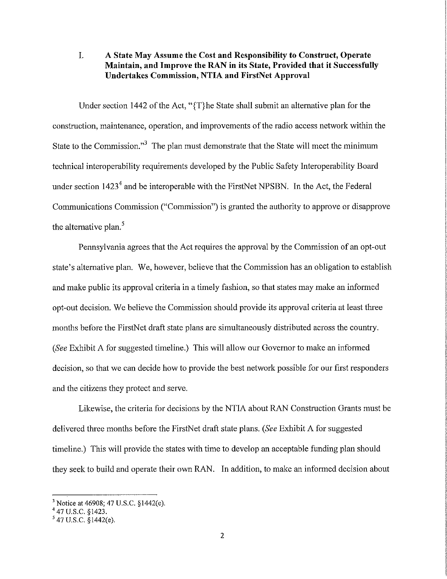# I. **A State May Assume the Cost and Responsibility to Construct, Operate Maintain, and Improve the RAN in its State, Provided that it Successfully Undertakes Commission, NTIA and FirstNet Approval**

Under section 1442 of the Act, "{T}he State shall submit an altemative plan for the construction, maintenance, operation, and improvements of the radio access network within the State to the Commission."<sup>3</sup> The plan must demonstrate that the State will meet the minimum technical interoperability requirements developed by the Public Safety Interoperability Board under section  $1423<sup>4</sup>$  and be interoperable with the FirstNet NPSBN. In the Act, the Federal Communications Commission ("Commission") is granted the authority to approve or disapprove the alternative plan.<sup>5</sup>

Pennsylvania agrees that the Act requires the approval by the Commission of an opt-out state's alternative plan. We, however, believe that the Commission has an obligation to establish and make public its approval criteria in a timely fashion, so that states may make an informed opt-out decision. We believe the Commission should provide its approval criteria at least three months before the FirstNet draft state plans are simultaneously distributed across the country. *(See Exhibit A for suggested timeline.)* This will allow our Governor to make an informed decision, so that we can decide how to provide the best network possible for our first responders and the citizens they protect and serve.

Likewise, the criteria for decisions by the NTIA about RAN Construction Grants must be delivered three months before the FirstNet draft state plans. *(See* Exhibit A for suggested timeline.) This will provide the states with time to develop an acceptable funding plan should they seek to build and operate their own RAN. In addition, to make an informed decision about

<sup>3</sup> Notice at 46908; 47 U.S.C. §1442(e).

<sup>4 47</sup> u.s.c. §1423.

 $547$  U.S.C.  $\S$ 1442(e).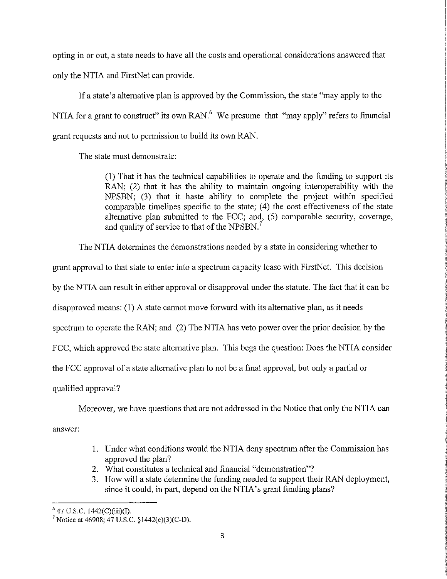opting in or out, a state needs to have all the costs and operational considerations answered that only the NTIA and FirstNet can provide.

If a state's alternative plan is approved by the Commission, the state "may apply to the NTIA for a grant to construct" its own RAN. $<sup>6</sup>$  We presume that "may apply" refers to financial</sup> grant requests and not to permission to build its own RAN.

The state must demonstrate:

(1) That it has the technical capabilities to operate and the funding to support its RAN; (2) that it has the ability to maintain ongoing interoperability with the NPSBN; (3) that it haste ability to complete the project within specified comparable timelines specific to the state; (4) the cost-effectiveness of the state alternative plan submitted to the FCC; and, (5) comparable security, coverage, and quality of service to that of the NPSBN. <sup>7</sup>

The NTIA determines the demonstrations needed by a state in considering whether to

grant approval to that state to enter into a spectrum capacity lease with FirstNet. This decision

by the NTIA can result in either approval or disapproval under the statute. The fact that it can be

disapproved means: (1) A state cannot move forward with its alternative plan, as it needs

spectrum to operate the RAN; and (2) The NTIA has veto power over the prior decision by the

FCC, which approved the state alternative plan. This begs the question: Does the NTIA consider

the FCC approval of a state alternative plan to not be a final approval, but only a partial or

qualified approval?

Moreover, we have questions that are not addressed in the Notice that only the NTIA can

answer:

- 1. Under what conditions would the NTIA deny spectrum after the Commission has approved the plan?
- 2. What constitutes a technical and financial "demonstration"?
- 3. How will a state determine the funding needed to support their RAN deployment, since it could, in part, depend on the NTIA's grant funding plans?

<sup>&</sup>lt;sup>6</sup> 47 U.S.C. 1442(C)(iii)(I).<br><sup>7</sup> Notice at 46908; 47 U.S.C. §1442(e)(3)(C-D).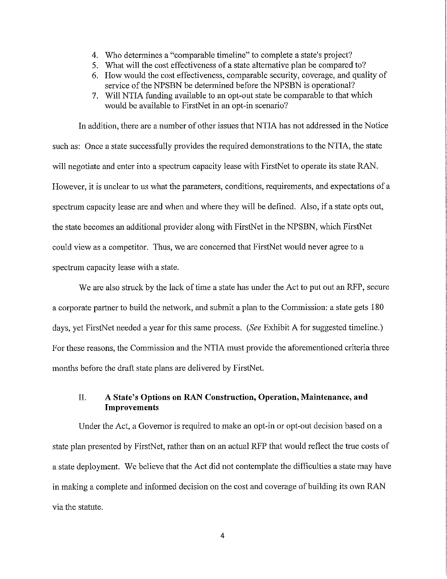- 4. Who determines a "comparable timeline" to complete a state's project?
- 5. What will the cost effectiveness of a state alternative plan be compared to?
- 6. How would the cost effectiveness, comparable security, coverage, and quality of service of the NPSBN be determined before the NPSBN is operational?
- 7. Will NTIA funding available to an opt-out state be comparable to that which would be available to FirstNet in an opt-in scenario?

In addition, there are a number of other issues that NTIA has not addressed in the Notice such as: Once a state successfully provides the required demonstrations to the NTIA, the state will negotiate and enter into a spectrum capacity lease with FirstNet to operate its state RAN. However, it is unclear to us what the parameters, conditions, requirements, and expectations of a spectrum capacity lease are and when and where they will be defined. Also, if a state opts out, the state becomes an additional provider along with FirstNet in the NPSBN, which FirstNet could view as a competitor. Thus, we are concerned that FirstNet would never agree to a spectrum capacity lease with a state.

We are also struck by the lack of time a state has under the Act to put out an RFP, secure a corporate partner to build the network, and submit a plan to the Commission: a state gets 180 days, yet FirstNet needed a year for this same process. *(See* Exhibit A for suggested timeline.) For these reasons, the Commission and the NTIA must provide the aforementioned criteria three months before the draft state plans are delivered by FirstNet.

# II. **A State's Options on RAN Construction, Operation, Maintenance, and Improvements**

Under the Act, a Governor is required to make an opt-in or opt-out decision based on a state plan presented by FirstNet, rather than on an actual RFP that would reflect the tme costs of a state deployment. We believe that the Act did not contemplate the difficulties a state may have in making a complete and informed decision on the cost and coverage of building its own RAN via the statute.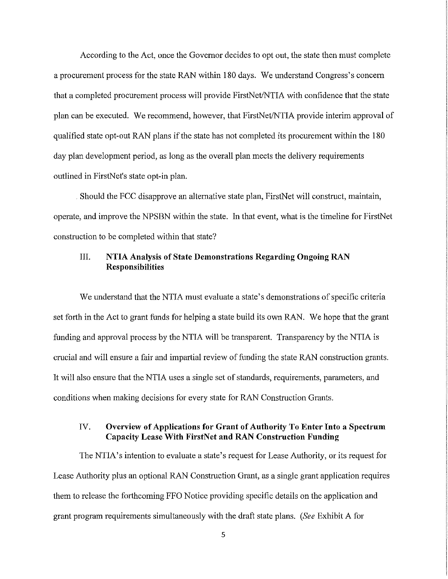According to the Act, once the Governor decides to opt out, the state then must complete a procurement process for the state RAN within 180 days. We understand Congress's concern that a completed procurement process will provide FirstNet/NTIA with confidence that the state plan can be executed. We recommend, however, that FirstNet/NTIA provide interim approval of qualified state opt-out RAN plans if the state has not completed its procurement within the 180 day plan development period, as long as the overall plan meets the delivery requirements outlined in FirstNet's state opt-in plan.

. Should the FCC disapprove an alternative state plan, FirstNet will construct, maintain, operate, and improve the NPSBN within the state. In that event, what is the timeline for FirstNet construction to be completed within that state?

# III. **NTIA Analysis of State Demonstrations Regarding Ongoing RAN Responsibilities**

We understand that the NTIA must evaluate a state's demonstrations of specific criteria set forth in the Act to grant funds for helping a state build its own RAN. We hope that the grant funding and approval process by the NTIA will be transparent. Transparency by the NTIA is crucial and will ensure a fair and impartial review of funding the state RAN construction grants. It will also ensure that the NTIA uses a single set of standards, requirements, parameters, and conditions when making decisions for every state for RAN Construction Grants.

# IV. **Overview of Applications for Grant of Authority To Enter Into a Spectrum Capacity Lease With FirstNet and RAN Construction Funding**

The NTIA's intention to evaluate a state's request for Lease Authority, or its request for Lease Authority plus an optional RAN Construction Grant, as a single grant application requires them to release the forthcoming FFO Notice providing specific details on the application and grant program requirements simultaneously with the draft state plans. *(See* Exhibit A for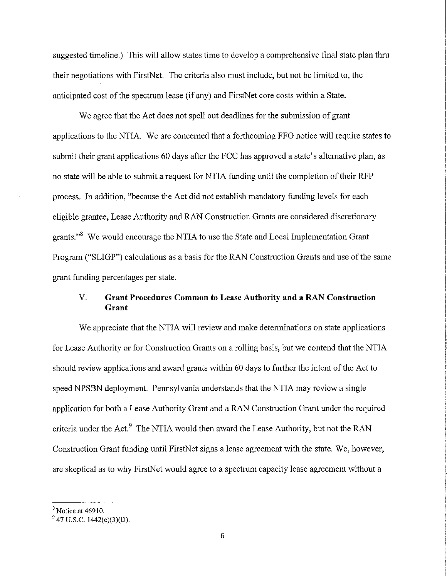suggested timeline.) This will allow states time to develop a comprehensive final state plan thru their negotiations with FirstNet. The criteria also must include, but not be limited to, the anticipated cost of the spectrum lease (if any) and FirstNet core costs within a State.

We agree that the Act does not spell out deadlines for the submission of grant applications to the NTIA. We are concerned that a forthcoming FFO notice will require states to submit their grant applications 60 days after the FCC has approved a state's alternative plan, as no state will be able to submit a request for NTIA funding until the completion of their RFP process. In addition, "because the Act did not establish mandatory funding levels for each eligible grantee, Lease Authority and RAN Construction Grants are considered discretionary grants.<sup>38</sup> We would encourage the NTIA to use the State and Local Implementation Grant Program ("SLIGP") calculations as a basis for the RAN Construction Grants and use ofthe same grant funding percentages per state.

## V. **Grant Procedures Common to Lease Authority and a RAN Construction Grant**

We appreciate that the NTIA will review and make determinations on state applications for Lease Authority or for Construction Grants on a rolling basis, but we contend that the NTIA should review applications and award grants within 60 days to further the intent of the Act to speed NPSBN deployment. Pennsylvania understands that the NTIA may review a single application for both a Lease Authority Grant and a RAN Construction Grant under the required criteria under the Act.<sup>9</sup> The NTIA would then award the Lease Authority, but not the RAN Construction Grant funding until FirstNet signs a lease agreement with the state. We, however, are skeptical as to why FirstNet would agree to a spectrum capacity lease agreement without a

 $8$  Notice at 46910.

 $947$  U.S.C. 1442(e)(3)(D).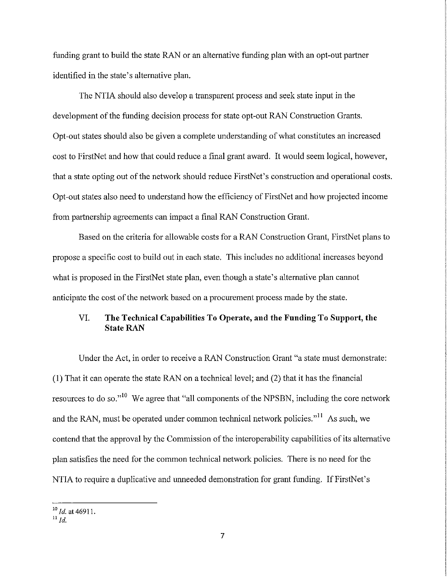funding grant to build the state RAN or an alternative funding plan with an opt-out partner identified in the state's alternative plan.

The NTIA should also develop a transparent process and seek state input in the development of the funding decision process for state opt-out RAN Construction Grants. Opt -out states should also be given a complete understanding of what constitutes an increased cost to FirstNet and how that could reduce a final grant award. It would seem logical, however, that a state opting out of the network should reduce FirstNet's construction and operational costs. Opt-out states also need to understand how the efficiency of FirstNet and how projected income from partnership agreements can impact a final RAN Construction Grant.

Based on the criteria for allowable costs for a RAN Construction Grant, FirstNet plans to propose a specific cost to build out in each state. This includes no additional increases beyond what is proposed in the FirstNet state plan, even though a state's altemative plan cannot anticipate the cost of the network based on a procurement process made by the state.

# VI. **The Technical Capabilities To Operate, and the Funding To Support, the State RAN**

Under the Act, in order to receive a RAN Construction Grant "a state must demonstrate: (1) That it can operate the state RAN on a technical level; and (2) that it has the financial resources to do so."<sup>10</sup> We agree that "all components of the NPSBN, including the core network and the RAN, must be operated under common technical network policies."<sup>11</sup> As such, we contend that the approval by the Commission of the interoperability capabilities of its altemative plan satisfies the need for the common technical network policies. There is no need for the NTIA to require a duplicative and unneeded demonstration for grant funding. If FirstNet's

<sup>&</sup>lt;sup>10</sup> *Id.* at 46911.

 $11$   $1d$ .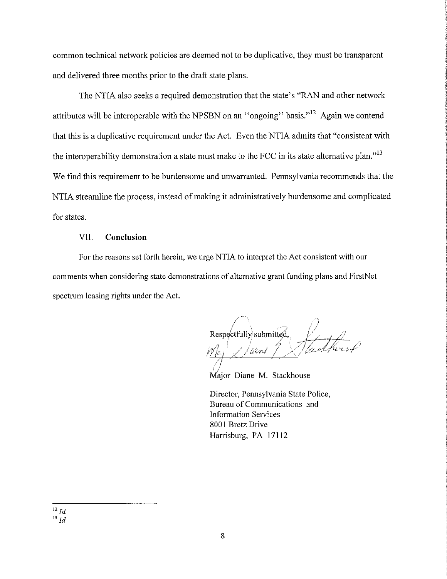common technical network policies are deemed not to be duplicative, they must be transparent and delivered three months prior to the draft state plans.

The NTIA also seeks a required demonstration that the state's "RAN and other network attributes will be interoperable with the NPSBN on an "ongoing" basis."  $^{12}$  Again we contend that this is a duplicative requirement under the Act. Even the NTIA admits that "consistent with the interoperability demonstration a state must make to the FCC in its state alternative plan."<sup>13</sup> We find this requirement to be burdensome and unwarranted. Pennsylvania recommends that the NTIA streamline the process, instead of making it administratively burdensome and complicated for states.

#### VII. **Conclusion**

For the reasons set forth herein, we urge NTIA to interpret the Act consistent with our comments when considering state demonstrations of alternative grant funding plans and FirstNet spectrum leasing rights under the Act.

Respectfully submitted, awi

Major Diane M. Stackhouse

Director, Pennsylvania State Police, Bureau of Communications and Information Services 8001 Bretz Drive Harrisburg, PA 17112